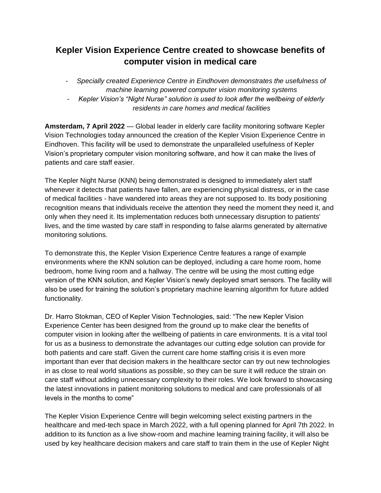## **Kepler Vision Experience Centre created to showcase benefits of computer vision in medical care**

- *Specially created Experience Centre in Eindhoven demonstrates the usefulness of machine learning powered computer vision monitoring systems*
- *Kepler Vision's "Night Nurse" solution is used to look after the wellbeing of elderly residents in care homes and medical facilities*

**Amsterdam, 7 April 2022** — Global leader in elderly care facility monitoring software Kepler Vision Technologies today announced the creation of the Kepler Vision Experience Centre in Eindhoven. This facility will be used to demonstrate the unparalleled usefulness of Kepler Vision's proprietary computer vision monitoring software, and how it can make the lives of patients and care staff easier.

The Kepler Night Nurse (KNN) being demonstrated is designed to immediately alert staff whenever it detects that patients have fallen, are experiencing physical distress, or in the case of medical facilities - have wandered into areas they are not supposed to. Its body positioning recognition means that individuals receive the attention they need the moment they need it, and only when they need it. Its implementation reduces both unnecessary disruption to patients' lives, and the time wasted by care staff in responding to false alarms generated by alternative monitoring solutions.

To demonstrate this, the Kepler Vision Experience Centre features a range of example environments where the KNN solution can be deployed, including a care home room, home bedroom, home living room and a hallway. The centre will be using the most cutting edge version of the KNN solution, and Kepler Vision's newly deployed smart sensors. The facility will also be used for training the solution's proprietary machine learning algorithm for future added functionality.

Dr. Harro Stokman, CEO of Kepler Vision Technologies, said: "The new Kepler Vision Experience Center has been designed from the ground up to make clear the benefits of computer vision in looking after the wellbeing of patients in care environments. It is a vital tool for us as a business to demonstrate the advantages our cutting edge solution can provide for both patients and care staff. Given the current care home staffing crisis it is even more important than ever that decision makers in the healthcare sector can try out new technologies in as close to real world situations as possible, so they can be sure it will reduce the strain on care staff without adding unnecessary complexity to their roles. We look forward to showcasing the latest innovations in patient monitoring solutions to medical and care professionals of all levels in the months to come"

The Kepler Vision Experience Centre will begin welcoming select existing partners in the healthcare and med-tech space in March 2022, with a full opening planned for April 7th 2022. In addition to its function as a live show-room and machine learning training facility, it will also be used by key healthcare decision makers and care staff to train them in the use of Kepler Night